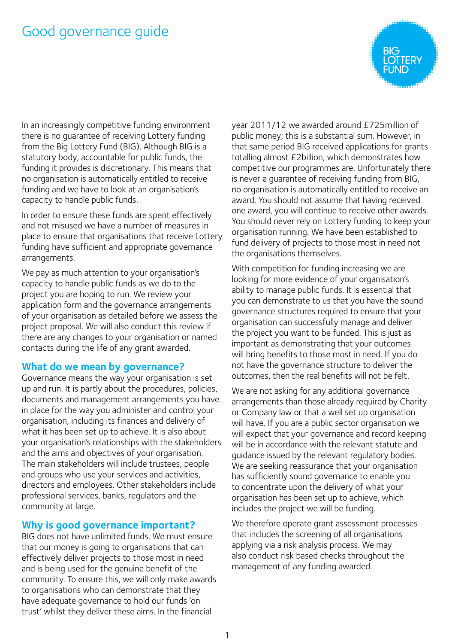# Good governance guide

In an increasingly competitive funding environment there is no guarantee of receiving Lottery funding from the Big Lottery Fund (BIG). Although BIG is a statutory body, accountable for public funds, the funding it provides is discretionary. This means that no organisation is automatically entitled to receive funding and we have to look at an organisation's capacity to handle public funds.

In order to ensure these funds are spent effectively and not misused we have a number of measures in place to ensure that organisations that receive Lottery funding have sufficient and appropriate governance arrangements.

We pay as much attention to your organisation's capacity to handle public funds as we do to the project you are hoping to run. We review your application form and the governance arrangements of your organisation as detailed before we assess the project proposal. We will also conduct this review if there are any changes to your organisation or named contacts during the life of any grant awarded.

#### **What do we mean by governance?**

Governance means the way your organisation is set up and run. It is partly about the procedures, policies, documents and management arrangements you have in place for the way you administer and control your organisation, including its finances and delivery of what it has been set up to achieve. It is also about your organisation's relationships with the stakeholders and the aims and objectives of your organisation. The main stakeholders will include trustees, people and groups who use your services and activities, directors and employees. Other stakeholders include professional services, banks, regulators and the community at large.

#### **Why is good governance important?**

BIG does not have unlimited funds. We must ensure that our money is going to organisations that can effectively deliver projects to those most in need and is being used for the genuine benefit of the community. To ensure this, we will only make awards to organisations who can demonstrate that they have adequate governance to hold our funds 'on trust' whilst they deliver these aims. In the financial

year 2011/12 we awarded around £725million of public money; this is a substantial sum. However, in that same period BIG received applications for grants totalling almost £2billion, which demonstrates how competitive our programmes are. Unfortunately there is never a guarantee of receiving funding from BIG, no organisation is automatically entitled to receive an award. You should not assume that having received one award, you will continue to receive other awards. You should never rely on Lottery funding to keep your organisation running. We have been established to fund delivery of projects to those most in need not the organisations themselves.

With competition for funding increasing we are looking for more evidence of your organisation's ability to manage public funds. It is essential that you can demonstrate to us that you have the sound governance structures required to ensure that your organisation can successfully manage and deliver the project you want to be funded. This is just as important as demonstrating that your outcomes will bring benefits to those most in need. If you do not have the governance structure to deliver the outcomes, then the real benefits will not be felt.

We are not asking for any additional governance arrangements than those already required by Charity or Company law or that a well set up organisation will have. If you are a public sector organisation we will expect that your governance and record keeping will be in accordance with the relevant statute and guidance issued by the relevant regulatory bodies. We are seeking reassurance that your organisation has sufficiently sound governance to enable you to concentrate upon the delivery of what your organisation has been set up to achieve, which includes the project we will be funding.

We therefore operate grant assessment processes that includes the screening of all organisations applying via a risk analysis process. We may also conduct risk based checks throughout the management of any funding awarded.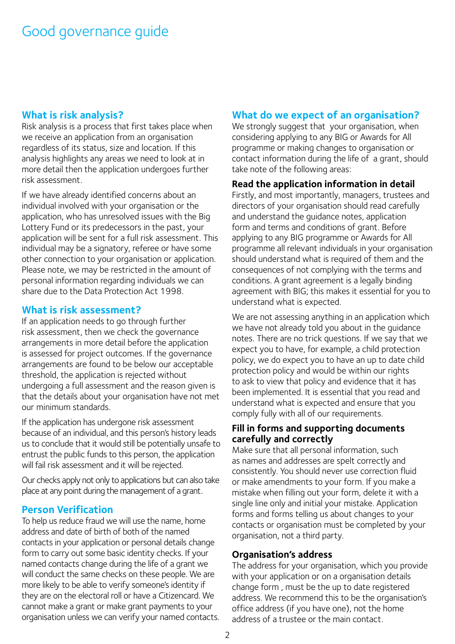## **What is risk analysis?**

Risk analysis is a process that first takes place when we receive an application from an organisation regardless of its status, size and location. If this analysis highlights any areas we need to look at in more detail then the application undergoes further risk assessment.

If we have already identified concerns about an individual involved with your organisation or the application, who has unresolved issues with the Big Lottery Fund or its predecessors in the past, your application will be sent for a full risk assessment. This individual may be a signatory, referee or have some other connection to your organisation or application. Please note, we may be restricted in the amount of personal information regarding individuals we can share due to the Data Protection Act 1998.

### **What is risk assessment?**

If an application needs to go through further risk assessment, then we check the governance arrangements in more detail before the application is assessed for project outcomes. If the governance arrangements are found to be below our acceptable threshold, the application is rejected without undergoing a full assessment and the reason given is that the details about your organisation have not met our minimum standards.

If the application has undergone risk assessment because of an individual, and this person's history leads us to conclude that it would still be potentially unsafe to entrust the public funds to this person, the application will fail risk assessment and it will be rejected.

Our checks apply not only to applications but can also take place at any point during the management of a grant.

## **Person Verification**

To help us reduce fraud we will use the name, home address and date of birth of both of the named contacts in your application or personal details change form to carry out some basic identity checks. If your named contacts change during the life of a grant we will conduct the same checks on these people. We are more likely to be able to verify someone's identity if they are on the electoral roll or have a Citizencard. We cannot make a grant or make grant payments to your organisation unless we can verify your named contacts.

## **What do we expect of an organisation?**

We strongly suggest that your organisation, when considering applying to any BIG or Awards for All programme or making changes to organisation or contact information during the life of a grant, should take note of the following areas:

#### **Read the application information in detail**

Firstly, and most importantly, managers, trustees and directors of your organisation should read carefully and understand the guidance notes, application form and terms and conditions of grant. Before applying to any BIG programme or Awards for All programme all relevant individuals in your organisation should understand what is required of them and the consequences of not complying with the terms and conditions. A grant agreement is a legally binding agreement with BIG; this makes it essential for you to understand what is expected.

We are not assessing anything in an application which we have not already told you about in the guidance notes. There are no trick questions. If we say that we expect you to have, for example, a child protection policy, we do expect you to have an up to date child protection policy and would be within our rights to ask to view that policy and evidence that it has been implemented. It is essential that you read and understand what is expected and ensure that you comply fully with all of our requirements.

#### **Fill in forms and supporting documents carefully and correctly**

Make sure that all personal information, such as names and addresses are spelt correctly and consistently. You should never use correction fluid or make amendments to your form. If you make a mistake when filling out your form, delete it with a single line only and initial your mistake. Application forms and forms telling us about changes to your contacts or organisation must be completed by your organisation, not a third party.

#### **Organisation's address**

The address for your organisation, which you provide with your application or on a organisation details change form , must be the up to date registered address. We recommend this to be the organisation's office address (if you have one), not the home address of a trustee or the main contact.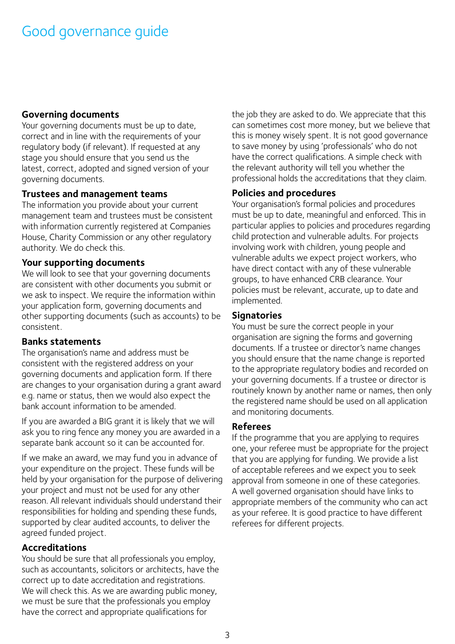## **Governing documents**

Your governing documents must be up to date, correct and in line with the requirements of your regulatory body (if relevant). If requested at any stage you should ensure that you send us the latest, correct, adopted and signed version of your governing documents.

#### **Trustees and management teams**

The information you provide about your current management team and trustees must be consistent with information currently registered at Companies House, Charity Commission or any other regulatory authority. We do check this.

### **Your supporting documents**

We will look to see that your governing documents are consistent with other documents you submit or we ask to inspect. We require the information within your application form, governing documents and other supporting documents (such as accounts) to be consistent.

#### **Banks statements**

The organisation's name and address must be consistent with the registered address on your governing documents and application form. If there are changes to your organisation during a grant award e.g. name or status, then we would also expect the bank account information to be amended.

If you are awarded a BIG grant it is likely that we will ask you to ring fence any money you are awarded in a separate bank account so it can be accounted for.

If we make an award, we may fund you in advance of your expenditure on the project. These funds will be held by your organisation for the purpose of delivering your project and must not be used for any other reason. All relevant individuals should understand their responsibilities for holding and spending these funds, supported by clear audited accounts, to deliver the agreed funded project.

## **Accreditations**

You should be sure that all professionals you employ, such as accountants, solicitors or architects, have the correct up to date accreditation and registrations. We will check this. As we are awarding public money, we must be sure that the professionals you employ have the correct and appropriate qualifications for

the job they are asked to do. We appreciate that this can sometimes cost more money, but we believe that this is money wisely spent. It is not good governance to save money by using 'professionals' who do not have the correct qualifications. A simple check with the relevant authority will tell you whether the professional holds the accreditations that they claim.

## **Policies and procedures**

Your organisation's formal policies and procedures must be up to date, meaningful and enforced. This in particular applies to policies and procedures regarding child protection and vulnerable adults. For projects involving work with children, young people and vulnerable adults we expect project workers, who have direct contact with any of these vulnerable groups, to have enhanced CRB clearance. Your policies must be relevant, accurate, up to date and implemented.

## **Signatories**

You must be sure the correct people in your organisation are signing the forms and governing documents. If a trustee or director's name changes you should ensure that the name change is reported to the appropriate regulatory bodies and recorded on your governing documents. If a trustee or director is routinely known by another name or names, then only the registered name should be used on all application and monitoring documents.

#### **Referees**

If the programme that you are applying to requires one, your referee must be appropriate for the project that you are applying for funding. We provide a list of acceptable referees and we expect you to seek approval from someone in one of these categories. A well governed organisation should have links to appropriate members of the community who can act as your referee. It is good practice to have different referees for different projects.